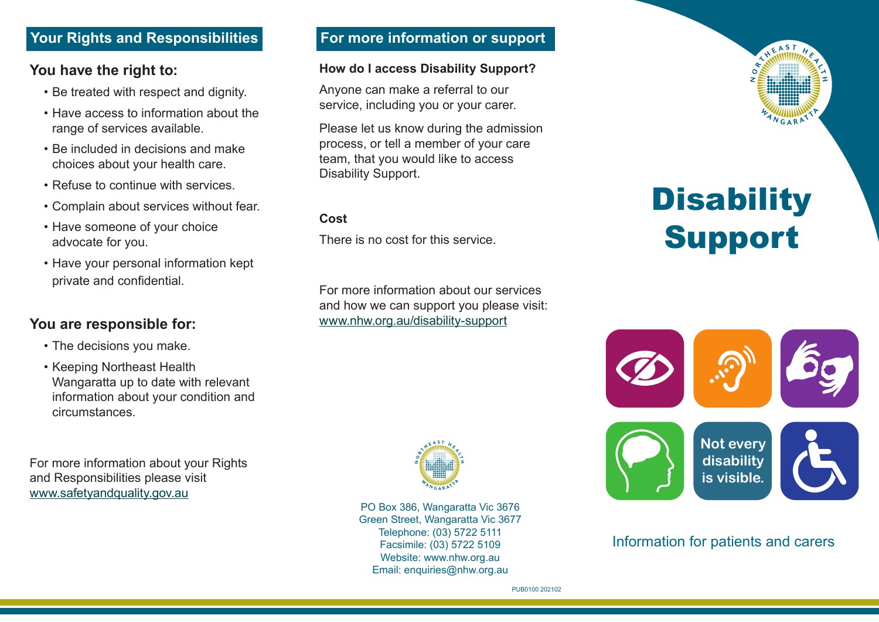## **Your Rights and Responsibilities**

#### **You have the right to:**

- Be treated with respect and dignity.
- Have access to information about the range of services available.
- Be included in decisions and make choices about your health care.
- Refuse to continue with services.
- Complain about services without fear.
- Have someone of your choice advocate for you.
- Have your personal information kept private and confidential.

## **You are responsible for:**

- The decisions you make.
- Keeping Northeast Health Wangaratta up to date with relevant information about your condition and circumstances.

For more information about your Rights and Responsibilities please visit www.safetyandquality.gov.au

## **For more information or support**

#### **How do I access Disability Support?**

Anyone can make a referral to our service, including you or your carer.

Please let us know during the admission process, or tell a member of your care team, that you would like to access Disability Support.

#### **Cost**

There is no cost for this service.

For more information about our services and how we can support you please visit: www.nhw.org.au/disability-support



PO Box 386, Wangaratta Vic 3676 Green Street, Wangaratta Vic 3677 Telephone: (03) 5722 5111 Facsimile: (03) 5722 5109 Website: www.nhw.org.au Email: enquiries@nhw.org.au

# **Disability** Support



#### Information for patients and carers

PUB0100 202102